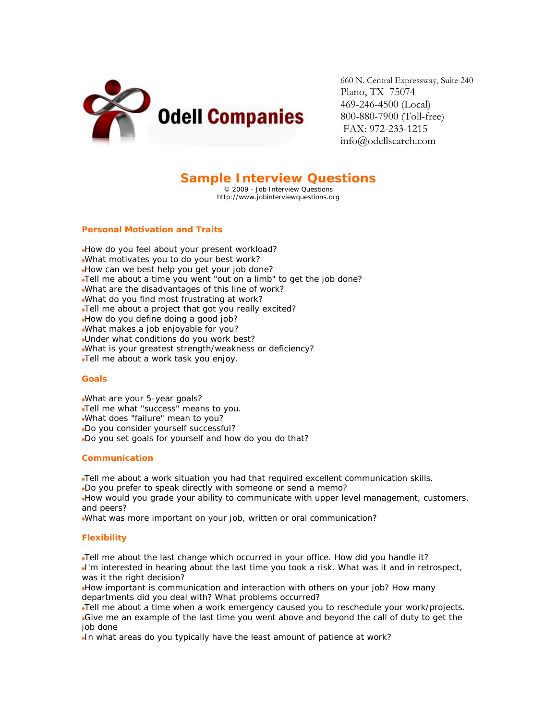

660 N. Central Expressway, Suite 240 Plano, TX 75074 469-246-4500 (Local) 800-880-7900 (Toll-free) FAX: 972-233-1215 info@odellsearch.com

# **Sample Interview Questions**

© 2009 - Job Interview Questions http://www.jobinterviewquestions.org

## **Personal Motivation and Traits**

How do you feel about your present workload?

- What motivates you to do your best work?
- How can we best help you get your job done?
- Tell me about a time you went "out on a limb" to get the job done?
- What are the disadvantages of this line of work?
- What do you find most frustrating at work?
- Tell me about a project that got you really excited?
- How do you define doing a good job?
- What makes a job enjoyable for you?
- Under what conditions do you work best?
- What is your greatest strength/weakness or deficiency?
- Tell me about a work task you enjoy.

#### **Goals**

- What are your 5-year goals?
- Tell me what "success" means to you.
- What does "failure" mean to you?
- Do you consider yourself successful?
- Do you set goals for yourself and how do you do that?

#### **Communication**

Tell me about a work situation you had that required excellent communication skills.

Do you prefer to speak directly with someone or send a memo?

How would you grade your ability to communicate with upper level management, customers, and peers?

What was more important on your job, written or oral communication?

# **Flexibility**

Tell me about the last change which occurred in your office. How did you handle it?

I'm interested in hearing about the last time you took a risk. What was it and in retrospect, was it the right decision?

How important is communication and interaction with others on your job? How many departments did you deal with? What problems occurred?

Tell me about a time when a work emergency caused you to reschedule your work/projects. Give me an example of the last time you went above and beyond the call of duty to get the job done

In what areas do you typically have the least amount of patience at work?